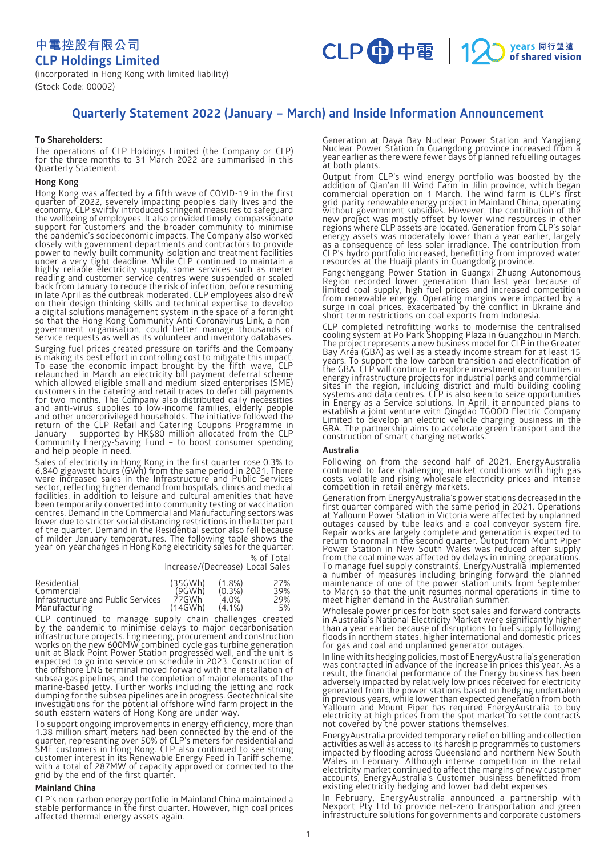**中電控股有限公司 CLP Holdings Limited**



(incorporated in Hong Kong with limited liability) (Stock Code: 00002)

# **Quarterly Statement 2022 (January – March) and Inside Information Announcement**

# **To Shareholders:**

The operations of CLP Holdings Limited (the Company or CLP) for the three months to 31 March 2022 are summarised in this Quarterly Statement.

# **Hong Kong**

Hong Kong was affected by a fifth wave of COVID-19 in the first quarter of 2022, severely impacting people's daily lives and the economy. CLP swiftly introduced stringent measures to safeguard the wellbeing of employees. It also provided timely, compassionate support for customers and the broader community to minimise the pandemic's socioeconomic impacts. The Company also worked closely with government departments and contractors to provide power to newly-built community isolation and treatment facilities under a very tight deadline. While CLP continued to maintain a highly reliable electricity supply, some services such as meter reading and customer service centres were suspended or scaled back from January to reduce the risk of infection, before resuming in late April as the outbreak moderated. CLP employees also drew $\,$ on their design thinking skills and technical expertise to develop a digital solutions management system in the space of a fortnight so that the Hong Kong Community Anti-Coronavirus Link, a nongovernment organisation, could better manage thousands of service requests as well as its volunteer and inventory databases.

Surging fuel prices created pressure on tariffs and the Company is making its best effort in controlling cost to mitigate this impact. To ease the economic impact brought by the fifth wave, CLP relaunched in March an electricity bill payment deferral scheme which allowed eligible small and medium-sized enterprises (SME) customers in the catering and retail trades to defer bill payments for two months. The Company also distributed daily necessities and anti-virus supplies to low-income families, elderly people and other underprivileged households. The initiative followed the return of the CLP Retail and Catering Coupons Programme in January – supported by HK\$80 million allocated from the CLP Community Energy-Saving Fund – to boost consumer spending and help people in need.

Sales of electricity in Hong Kong in the first quarter rose 0.3% to 6,840 gigawatt hours (GWh) from the same period in 2021. There were increased sales in the Infrastructure and Public Services sector, reflecting higher demand from hospitals, clinics and medical facilities, in addition to leisure and cultural amenities that have been temporarily converted into community testing or vaccination centres. Demand in the Commercial and Manufacturing sectors was lower due to stricter social distancing restrictions in the latter part of the quarter. Demand in the Residential sector also fell because of milder January temperatures. The following table shows the year-on-year changes in Hong Kong electricity sales for the quarter:

> Increase/(Decrease) Local Sales % of Total

| Residential                        | (35GWh) | $(1.8\%)$ | 27% |
|------------------------------------|---------|-----------|-----|
| Commercial                         | (9GWh)  | $(0.3\%)$ | 39% |
| Infrastructure and Public Services | 77GWh   | 4 O%      | 29% |
| Manufacturing                      | (14GWh) | $(4.1\%)$ | 5%  |

CLP continued to manage supply chain challenges created by the pandemic to minimise delays to major decarbonisation infrastructure projects. Engineering, procurement and construction works on the new 600MW combined-cycle gas turbine generation unit at Black Point Power Station progressed well, and the unit is expected to go into service on schedule in 2023. Construction of the offshore LNG terminal moved forward with the installation of subsea gas pipelines, and the completion of major elements of the marine-based jetty. Further works including the jetting and rock dumping for the subsea pipelines are in progress. Geotechnical site investigations for the potential offshore wind farm project in the south-eastern waters of Hong Kong are under way.

To support ongoing improvements in energy efficiency, more than 1.38 million smart meters had been connected by the end of the quarter, representing over 50% of CLP's meters for residential and SME customers in Hong Kong. CLP also continued to see strong customer interest in its Renewable Energy Feed-in Tariff scheme, with a total of 287MW of capacity approved or connected to the grid by the end of the first quarter.

# **Mainland China**

CLP's non-carbon energy portfolio in Mainland China maintained a stable performance in the first quarter. However, high coal prices affected thermal energy assets again.

Generation at Daya Bay Nuclear Power Station and Yangjiang Nuclear Power Station in Guangdong province increased from a year earlier as there were fewer days of planned refuelling outages at both plants.

Output from CLP's wind energy portfolio was boosted by the addition of Qian'an III Wind Farm in Jilin province, which began commercial operation on 1 March. The wind farm is CLP's first grid-parity renewable energy project in Mainland China, operating without government subsidies. However, the contribution of the new project was mostly offset by lower wind resources in other regions where CLP assets are located. Generation from CLP's solar energy assets was moderately lower than a year earlier, largely as a consequence of less solar irradiance. The contribution from CLP's hydro portfolio increased, benefitting from improved water resources at the Huaiji plants in Guangdong province.

Fangchenggang Power Station in Guangxi Zhuang Autonomous Region recorded lower generation than last year because of limited coal supply, high fuel prices and increased competition from renewable energy. Operating margins were impacted by a surge in coal prices, exacerbated by the conflict in Ukraine and short-term restrictions on coal exports from Indonesia.

CLP completed retrofitting works to modernise the centralised cooling system at Po Park Shopping Plaza in Guangzhou in March. The project represents a new business model for CLP in the Greater Bay Area (GBA) as well as a steady income stream for at least 15 years. To support the low-carbon transition and electrification of the GBA, CLP will continue to explore investment opportunities in energy infrastructure projects for industrial parks and commercial sites in the region, including district and multi-building cooling systems and data centres. CLP is also keen to seize opportunities in Energy-as-a-Service solutions. In April, it announced plans to establish a joint venture with Qingdao TGOOD Electric Company Limited to develop an electric vehicle charging business in the GBA. The partnership aims to accelerate green transport and the construction of smart charging networks.

# **Australia**

Following on from the second half of 2021, EnergyAustralia continued to face challenging market conditions with high gas costs, volatile and rising wholesale electricity prices and intense competition in retail energy markets.

Generation from EnergyAustralia's power stations decreased in the first quarter compared with the same period in 2021. Operations at Yallourn Power Station in Victoria were affected by unplanned outages caused by tube leaks and a coal conveyor system fire. Repair works are largely complete and generation is expected to return to normal in the second quarter. Output from Mount Piper Power Station in New South Wales was reduced after supply from the coal mine was affected by delays in mining preparations. To manage fuel supply constraints, EnergyAustralia implemented a number of measures including bringing forward the planned maintenance of one of the power station units from September to March so that the unit resumes normal operations in time to meet higher demand in the Australian summer.

Wholesale power prices for both spot sales and forward contracts in Australia's National Electricity Market were significantly higher than a year earlier because of disruptions to fuel supply following floods in northern states, higher international and domestic prices for gas and coal and unplanned generator outages.

In line with its hedging policies, most of EnergyAustralia's generation was contracted in advance of the increase in prices this year. As a result, the financial performance of the Energy business has been adversely impacted by relatively low prices received for electricity generated from the power stations based on hedging undertaken in previous years, while lower than expected generation from both Yallourn and Mount Piper has required EnergyAustralia to buy electricity at high prices from the spot market to settle contracts not covered by the power stations themselves.

EnergyAustralia provided temporary relief on billing and collection activities as well as access to its hardship programmes to customers impacted by flooding across Queensland and northern New South Wales in February. Although intense competition in the retail electricity market continued to affect the margins of new customer accounts, EnergyAustralia's Customer business benefitted from existing electricity hedging and lower bad debt expenses.

In February, EnergyAustralia announced a partnership with Nexport Pty Ltd to provide net-zero transportation and green infrastructure solutions for governments and corporate customers